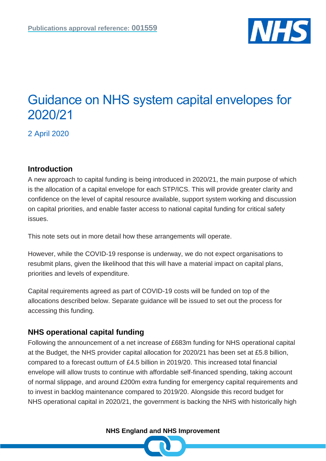

# Guidance on NHS system capital envelopes for 2020/21

2 April 2020

# **Introduction**

A new approach to capital funding is being introduced in 2020/21, the main purpose of which is the allocation of a capital envelope for each STP/ICS. This will provide greater clarity and confidence on the level of capital resource available, support system working and discussion on capital priorities, and enable faster access to national capital funding for critical safety issues.

This note sets out in more detail how these arrangements will operate.

However, while the COVID-19 response is underway, we do not expect organisations to resubmit plans, given the likelihood that this will have a material impact on capital plans, priorities and levels of expenditure.

Capital requirements agreed as part of COVID-19 costs will be funded on top of the allocations described below. Separate guidance will be issued to set out the process for accessing this funding.

# **NHS operational capital funding**

Following the announcement of a net increase of £683m funding for NHS operational capital at the Budget, the NHS provider capital allocation for 2020/21 has been set at £5.8 billion, compared to a forecast outturn of £4.5 billion in 2019/20. This increased total financial envelope will allow trusts to continue with affordable self-financed spending, taking account of normal slippage, and around £200m extra funding for emergency capital requirements and to invest in backlog maintenance compared to 2019/20. Alongside this record budget for NHS operational capital in 2020/21, the government is backing the NHS with historically high

**NHS England and NHS Improvement**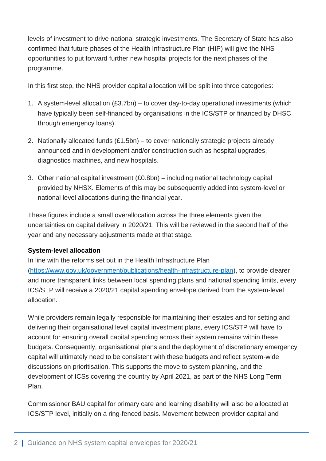levels of investment to drive national strategic investments. The Secretary of State has also confirmed that future phases of the Health Infrastructure Plan (HIP) will give the NHS opportunities to put forward further new hospital projects for the next phases of the programme.

In this first step, the NHS provider capital allocation will be split into three categories:

- 1. A system-level allocation (£3.7bn) to cover day-to-day operational investments (which have typically been self-financed by organisations in the ICS/STP or financed by DHSC through emergency loans).
- 2. Nationally allocated funds (£1.5bn) to cover nationally strategic projects already announced and in development and/or construction such as hospital upgrades, diagnostics machines, and new hospitals.
- 3. Other national capital investment (£0.8bn) including national technology capital provided by NHSX. Elements of this may be subsequently added into system-level or national level allocations during the financial year.

These figures include a small overallocation across the three elements given the uncertainties on capital delivery in 2020/21. This will be reviewed in the second half of the year and any necessary adjustments made at that stage.

# **System-level allocation**

In line with the reforms set out in the Health Infrastructure Plan [\(https://www.gov.uk/government/publications/health-infrastructure-plan\)](https://www.gov.uk/government/publications/health-infrastructure-plan), to provide clearer and more transparent links between local spending plans and national spending limits, every ICS/STP will receive a 2020/21 capital spending envelope derived from the system-level allocation.

While providers remain legally responsible for maintaining their estates and for setting and delivering their organisational level capital investment plans, every ICS/STP will have to account for ensuring overall capital spending across their system remains within these budgets. Consequently, organisational plans and the deployment of discretionary emergency capital will ultimately need to be consistent with these budgets and reflect system-wide discussions on prioritisation. This supports the move to system planning, and the development of ICSs covering the country by April 2021, as part of the NHS Long Term Plan.

Commissioner BAU capital for primary care and learning disability will also be allocated at ICS/STP level, initially on a ring-fenced basis. Movement between provider capital and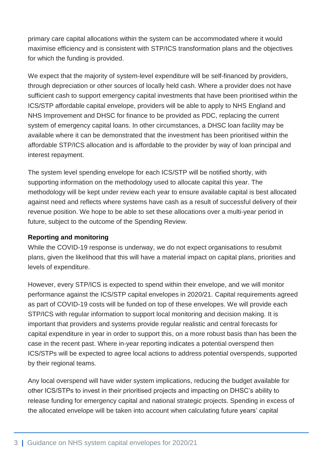primary care capital allocations within the system can be accommodated where it would maximise efficiency and is consistent with STP/ICS transformation plans and the objectives for which the funding is provided.

We expect that the majority of system-level expenditure will be self-financed by providers, through depreciation or other sources of locally held cash. Where a provider does not have sufficient cash to support emergency capital investments that have been prioritised within the ICS/STP affordable capital envelope, providers will be able to apply to NHS England and NHS Improvement and DHSC for finance to be provided as PDC, replacing the current system of emergency capital loans. In other circumstances, a DHSC loan facility may be available where it can be demonstrated that the investment has been prioritised within the affordable STP/ICS allocation and is affordable to the provider by way of loan principal and interest repayment.

The system level spending envelope for each ICS/STP will be notified shortly, with supporting information on the methodology used to allocate capital this year. The methodology will be kept under review each year to ensure available capital is best allocated against need and reflects where systems have cash as a result of successful delivery of their revenue position. We hope to be able to set these allocations over a multi-year period in future, subject to the outcome of the Spending Review.

#### **Reporting and monitoring**

While the COVID-19 response is underway, we do not expect organisations to resubmit plans, given the likelihood that this will have a material impact on capital plans, priorities and levels of expenditure.

However, every STP/ICS is expected to spend within their envelope, and we will monitor performance against the ICS/STP capital envelopes in 2020/21. Capital requirements agreed as part of COVID-19 costs will be funded on top of these envelopes. We will provide each STP/ICS with regular information to support local monitoring and decision making. It is important that providers and systems provide regular realistic and central forecasts for capital expenditure in year in order to support this, on a more robust basis than has been the case in the recent past. Where in-year reporting indicates a potential overspend then ICS/STPs will be expected to agree local actions to address potential overspends, supported by their regional teams.

Any local overspend will have wider system implications, reducing the budget available for other ICS/STPs to invest in their prioritised projects and impacting on DHSC's ability to release funding for emergency capital and national strategic projects. Spending in excess of the allocated envelope will be taken into account when calculating future years' capital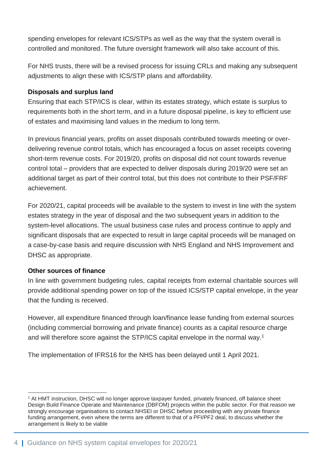spending envelopes for relevant ICS/STPs as well as the way that the system overall is controlled and monitored. The future oversight framework will also take account of this.

For NHS trusts, there will be a revised process for issuing CRLs and making any subsequent adjustments to align these with ICS/STP plans and affordability.

#### **Disposals and surplus land**

Ensuring that each STP/ICS is clear, within its estates strategy, which estate is surplus to requirements both in the short term, and in a future disposal pipeline, is key to efficient use of estates and maximising land values in the medium to long term.

In previous financial years, profits on asset disposals contributed towards meeting or overdelivering revenue control totals, which has encouraged a focus on asset receipts covering short-term revenue costs. For 2019/20, profits on disposal did not count towards revenue control total – providers that are expected to deliver disposals during 2019/20 were set an additional target as part of their control total, but this does not contribute to their PSF/FRF achievement.

For 2020/21, capital proceeds will be available to the system to invest in line with the system estates strategy in the year of disposal and the two subsequent years in addition to the system-level allocations. The usual business case rules and process continue to apply and significant disposals that are expected to result in large capital proceeds will be managed on a case-by-case basis and require discussion with NHS England and NHS Improvement and DHSC as appropriate.

#### **Other sources of finance**

In line with government budgeting rules, capital receipts from external charitable sources will provide additional spending power on top of the issued ICS/STP capital envelope, in the year that the funding is received.

However, all expenditure financed through loan/finance lease funding from external sources (including commercial borrowing and private finance) counts as a capital resource charge and will therefore score against the STP/ICS capital envelope in the normal way.<sup>1</sup>

The implementation of IFRS16 for the NHS has been delayed until 1 April 2021.

 $\overline{a}$ <sup>1</sup> At HMT instruction, DHSC will no longer approve taxpayer funded, privately financed, off balance sheet Design Build Finance Operate and Maintenance (DBFOM) projects within the public sector. For that reason we strongly encourage organisations to contact NHSEI or DHSC before proceeding with any private finance funding arrangement, even where the terms are different to that of a PFI/PF2 deal, to discuss whether the arrangement is likely to be viable